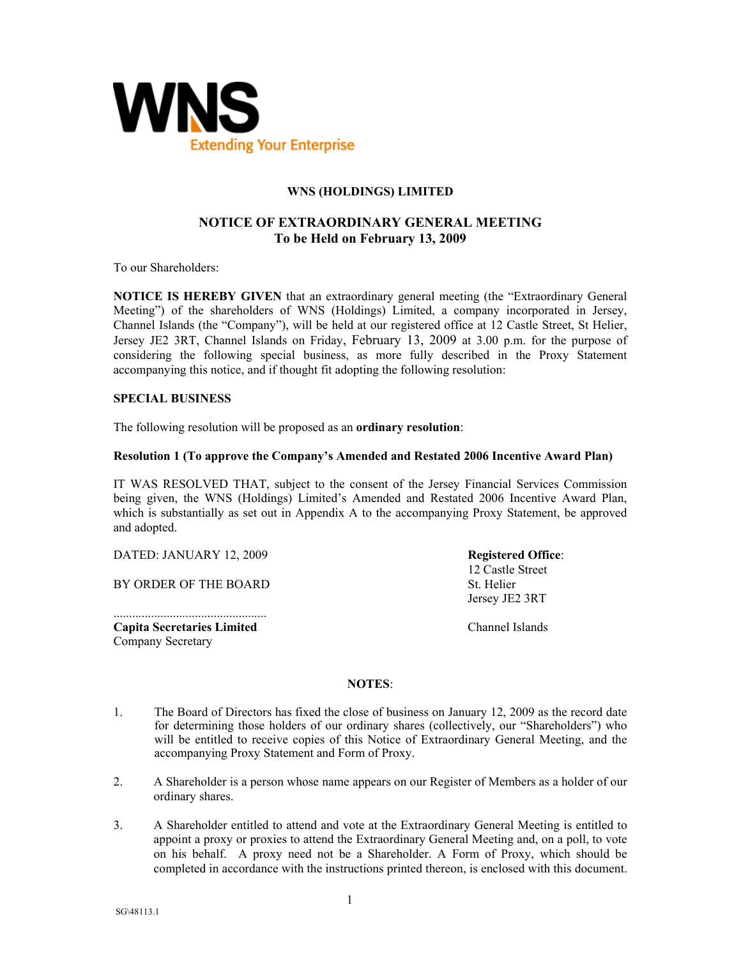

## **WNS (HOLDINGS) LIMITED**

# **NOTICE OF EXTRAORDINARY GENERAL MEETING To be Held on February 13, 2009**

To our Shareholders:

**NOTICE IS HEREBY GIVEN** that an extraordinary general meeting (the "Extraordinary General Meeting") of the shareholders of WNS (Holdings) Limited, a company incorporated in Jersey, Channel Islands (the "Company"), will be held at our registered office at 12 Castle Street, St Helier, Jersey JE2 3RT, Channel Islands on Friday, February 13, 2009 at 3.00 p.m. for the purpose of considering the following special business, as more fully described in the Proxy Statement accompanying this notice, and if thought fit adopting the following resolution:

### **SPECIAL BUSINESS**

The following resolution will be proposed as an **ordinary resolution**:

#### **Resolution 1 (To approve the Company's Amended and Restated 2006 Incentive Award Plan)**

IT WAS RESOLVED THAT, subject to the consent of the Jersey Financial Services Commission being given, the WNS (Holdings) Limited's Amended and Restated 2006 Incentive Award Plan, which is substantially as set out in Appendix A to the accompanying Proxy Statement, be approved and adopted.

DATED: JANUARY 12, 2009

BY ORDER OF THE BOARD

................................................. **Capita Secretaries Limited**  Company Secretary

**Registered Office**: 12 Castle Street St. Helier Jersey JE2 3RT

Channel Islands

### **NOTES**:

- 1. The Board of Directors has fixed the close of business on January 12, 2009 as the record date for determining those holders of our ordinary shares (collectively, our "Shareholders") who will be entitled to receive copies of this Notice of Extraordinary General Meeting, and the accompanying Proxy Statement and Form of Proxy.
- 2. A Shareholder is a person whose name appears on our Register of Members as a holder of our ordinary shares.
- 3. A Shareholder entitled to attend and vote at the Extraordinary General Meeting is entitled to appoint a proxy or proxies to attend the Extraordinary General Meeting and, on a poll, to vote on his behalf. A proxy need not be a Shareholder. A Form of Proxy, which should be completed in accordance with the instructions printed thereon, is enclosed with this document.